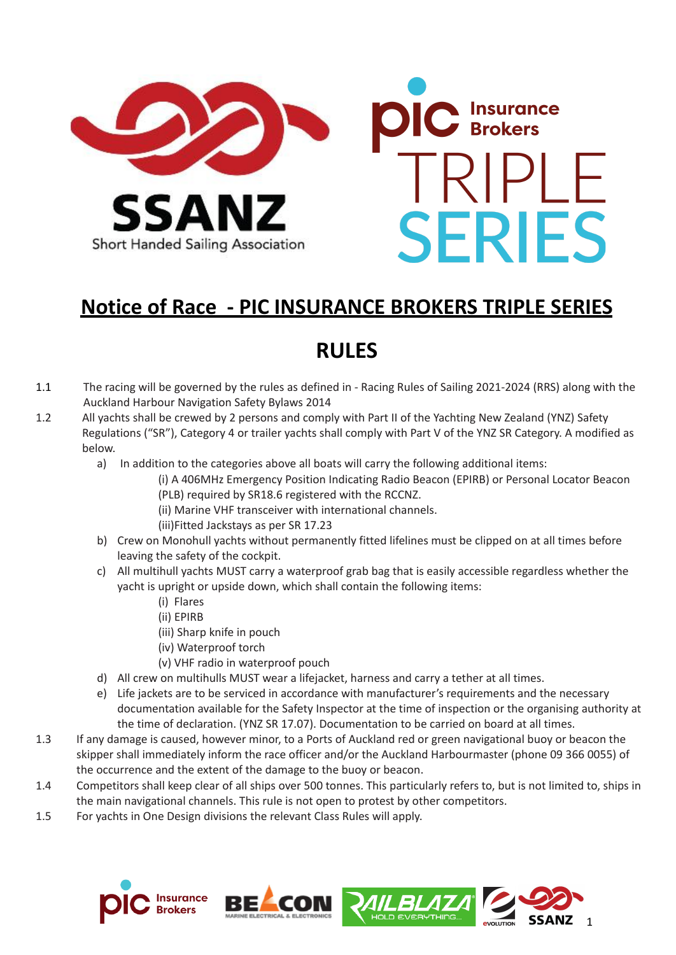

# **Notice of Race - PIC INSURANCE BROKERS TRIPLE SERIES**

# **RULES**

- 1.1 The racing will be governed by the rules as defined in Racing Rules of Sailing 2021-2024 (RRS) along with the Auckland Harbour Navigation Safety Bylaws 2014
- 1.2 All yachts shall be crewed by 2 persons and comply with Part II of the Yachting New Zealand (YNZ) Safety Regulations ("SR"), Category 4 or trailer yachts shall comply with Part V of the YNZ SR Category. A modified as below.
	- a) In addition to the categories above all boats will carry the following additional items:
		- (i) A 406MHz Emergency Position Indicating Radio Beacon (EPIRB) or Personal Locator Beacon (PLB) required by SR18.6 registered with the RCCNZ.
			- (ii) Marine VHF transceiver with international channels.
			- (iii)Fitted Jackstays as per SR 17.23
	- b) Crew on Monohull yachts without permanently fitted lifelines must be clipped on at all times before leaving the safety of the cockpit.
	- c) All multihull yachts MUST carry a waterproof grab bag that is easily accessible regardless whether the yacht is upright or upside down, which shall contain the following items:
		- (i) Flares
		- (ii) EPIRB
		- (iii) Sharp knife in pouch
		- (iv) Waterproof torch
		- (v) VHF radio in waterproof pouch
	- d) All crew on multihulls MUST wear a lifejacket, harness and carry a tether at all times.
	- e) Life jackets are to be serviced in accordance with manufacturer's requirements and the necessary documentation available for the Safety Inspector at the time of inspection or the organising authority at the time of declaration. (YNZ SR 17.07). Documentation to be carried on board at all times.
- 1.3 If any damage is caused, however minor, to a Ports of Auckland red or green navigational buoy or beacon the skipper shall immediately inform the race officer and/or the Auckland Harbourmaster (phone 09 366 0055) of the occurrence and the extent of the damage to the buoy or beacon.
- 1.4 Competitors shall keep clear of all ships over 500 tonnes. This particularly refers to, but is not limited to, ships in the main navigational channels. This rule is not open to protest by other competitors.
- 1.5 For yachts in One Design divisions the relevant Class Rules will apply.







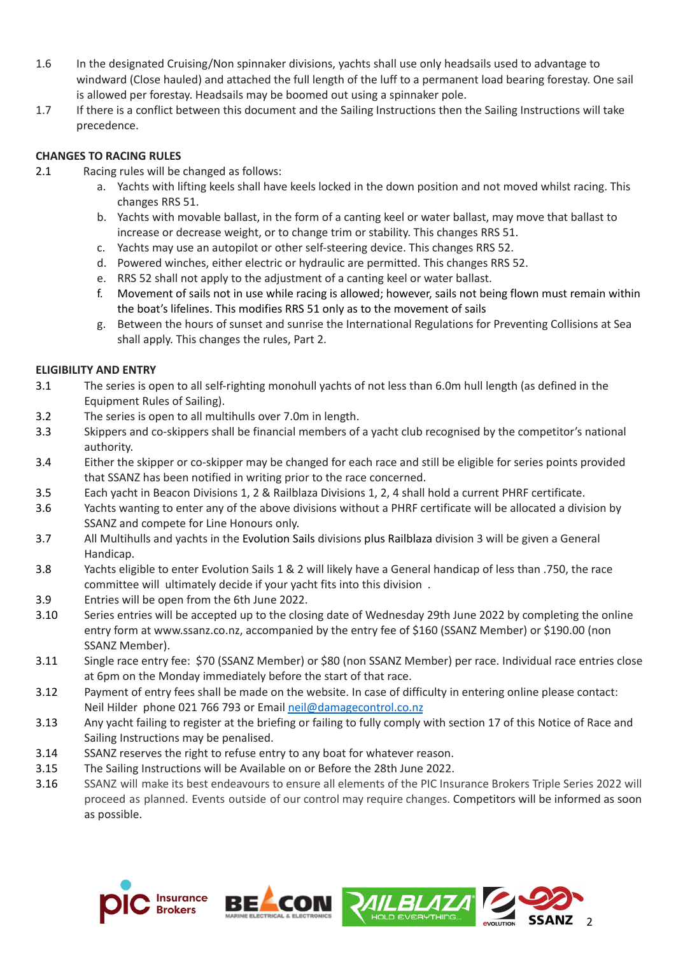- 1.6 In the designated Cruising/Non spinnaker divisions, yachts shall use only headsails used to advantage to windward (Close hauled) and attached the full length of the luff to a permanent load bearing forestay. One sail is allowed per forestay. Headsails may be boomed out using a spinnaker pole.
- 1.7 If there is a conflict between this document and the Sailing Instructions then the Sailing Instructions will take precedence.

# **CHANGES TO RACING RULES**

- 2.1 Racing rules will be changed as follows:
	- a. Yachts with lifting keels shall have keels locked in the down position and not moved whilst racing. This changes RRS 51.
	- b. Yachts with movable ballast, in the form of a canting keel or water ballast, may move that ballast to increase or decrease weight, or to change trim or stability. This changes RRS 51.
	- c. Yachts may use an autopilot or other self-steering device. This changes RRS 52.
	- d. Powered winches, either electric or hydraulic are permitted. This changes RRS 52.
	- e. RRS 52 shall not apply to the adjustment of a canting keel or water ballast.
	- f. Movement of sails not in use while racing is allowed; however, sails not being flown must remain within the boat's lifelines. This modifies RRS 51 only as to the movement of sails
	- g. Between the hours of sunset and sunrise the International Regulations for Preventing Collisions at Sea shall apply. This changes the rules, Part 2.

# **ELIGIBILITY AND ENTRY**

- 3.1 The series is open to all self-righting monohull yachts of not less than 6.0m hull length (as defined in the Equipment Rules of Sailing).
- 3.2 The series is open to all multihulls over 7.0m in length.
- 3.3 Skippers and co-skippers shall be financial members of a yacht club recognised by the competitor's national authority.
- 3.4 Either the skipper or co-skipper may be changed for each race and still be eligible for series points provided that SSANZ has been notified in writing prior to the race concerned.
- 3.5 Each yacht in Beacon Divisions 1, 2 & Railblaza Divisions 1, 2, 4 shall hold a current PHRF certificate.
- 3.6 Yachts wanting to enter any of the above divisions without a PHRF certificate will be allocated a division by SSANZ and compete for Line Honours only.
- 3.7 All Multihulls and yachts in the Evolution Sails divisions plus Railblaza division 3 will be given a General Handicap.
- 3.8 Yachts eligible to enter Evolution Sails 1 & 2 will likely have a General handicap of less than .750, the race committee will ultimately decide if your yacht fits into this division .
- 3.9 Entries will be open from the 6th June 2022.
- 3.10 Series entries will be accepted up to the closing date of Wednesday 29th June 2022 by completing the online entry form at [www.ssanz.co.nz,](http://www.ssanz.co.nz/) accompanied by the entry fee of \$160 (SSANZ Member) or \$190.00 (non SSANZ Member).
- 3.11 Single race entry fee: \$70 (SSANZ Member) or \$80 (non SSANZ Member) per race. Individual race entries close at 6pm on the Monday immediately before the start of that race.
- 3.12 Payment of entry fees shall be made on the website. In case of difficulty in entering online please contact: Neil Hilder phone 021 766 793 or Email [neil@damagecontrol.co.nz](mailto:neil@damagecontrol.co.nz)
- 3.13 Any yacht failing to register at the briefing or failing to fully comply with section 17 of this Notice of Race and Sailing Instructions may be penalised.
- 3.14 SSANZ reserves the right to refuse entry to any boat for whatever reason.
- 3.15 The Sailing Instructions will be Available on or Before the 28th June 2022.
- 3.16 SSANZ will make its best endeavours to ensure all elements of the PIC Insurance Brokers Triple Series 2022 will proceed as planned. Events outside of our control may require changes. Competitors will be informed as soon as possible.







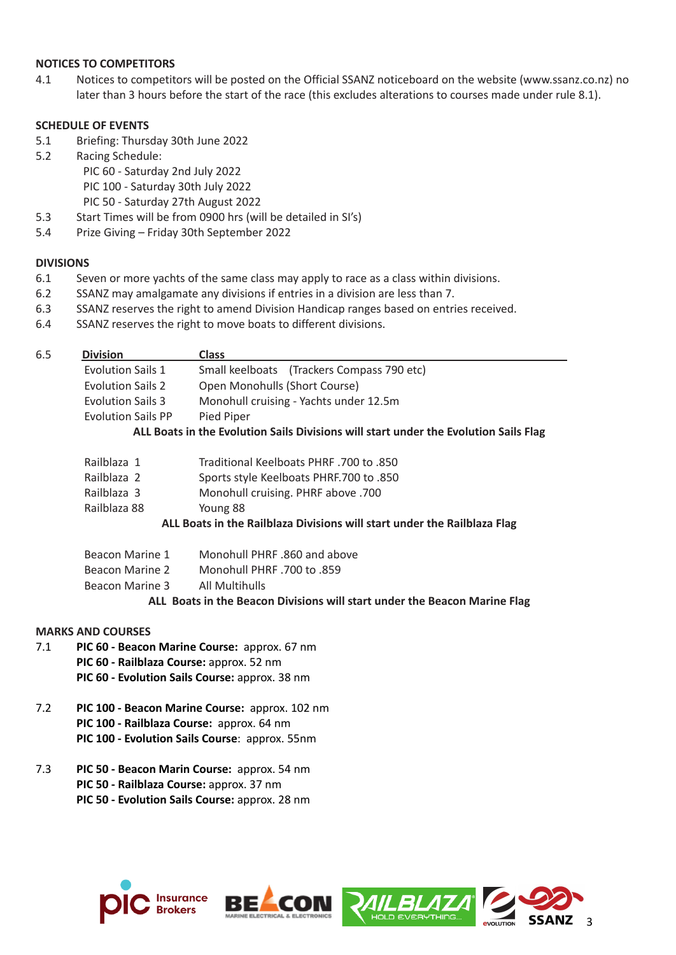### **NOTICES TO COMPETITORS**

4.1 Notices to competitors will be posted on the Official SSANZ noticeboard on the website (www.ssanz.co.nz) no later than 3 hours before the start of the race (this excludes alterations to courses made under rule 8.1).

# **SCHEDULE OF EVENTS**

- 5.1 Briefing: Thursday 30th June 2022
- 5.2 Racing Schedule:
	- PIC 60 Saturday 2nd July 2022 PIC 100 - Saturday 30th July 2022 PIC 50 - Saturday 27th August 2022
- 5.3 Start Times will be from 0900 hrs (will be detailed in SI's)
- 5.4 Prize Giving Friday 30th September 2022

## **DIVISIONS**

- 6.1 Seven or more yachts of the same class may apply to race as a class within divisions.
- 6.2 SSANZ may amalgamate any divisions if entries in a division are less than 7.
- 6.3 SSANZ reserves the right to amend Division Handicap ranges based on entries received.
- 6.4 SSANZ reserves the right to move boats to different divisions.

## 6.5 **Division Class**

| <b>Evolution Sails 2</b><br><b>Evolution Sails 3</b> | Open Monohulls (Short Course)<br>Monohull cruising - Yachts under 12.5m                            |
|------------------------------------------------------|----------------------------------------------------------------------------------------------------|
| <b>Evolution Sails PP</b>                            |                                                                                                    |
|                                                      | Pied Piper<br>ALL Boats in the Evolution Sails Divisions will start under the Evolution Sails Flag |

- Railblaza 1 Traditional Keelboats PHRF .700 to .850
- Railblaza 2 Sports style Keelboats PHRF.700 to .850
- Railblaza 3 Monohull cruising. PHRF above .700
- Railblaza 88 Young 88

# **ALL Boats in the Railblaza Divisions will start under the Railblaza Flag**

| Beacon Marine 1 | Monohull PHRF .860 and above |
|-----------------|------------------------------|
| Beacon Marine 2 | Monohull PHRF .700 to .859   |
| Beacon Marine 3 | All Multihulls               |
|                 |                              |

#### **ALL Boats in the Beacon Divisions will start under the Beacon Marine Flag**

# **MARKS AND COURSES**

- 7.1 **PIC 60 - Beacon Marine Course:** approx. 67 nm **PIC 60 - Railblaza Course:** approx. 52 nm **PIC 60 - Evolution Sails Course:** approx. 38 nm
- 7.2 **PIC 100 - Beacon Marine Course:** approx. 102 nm **PIC 100 - Railblaza Course:** approx. 64 nm **PIC 100 - Evolution Sails Course**: approx. 55nm
- 7.3 **PIC 50 - Beacon Marin Course:** approx. 54 nm **PIC 50 - Railblaza Course:** approx. 37 nm **PIC 50 - Evolution Sails Course:** approx. 28 nm







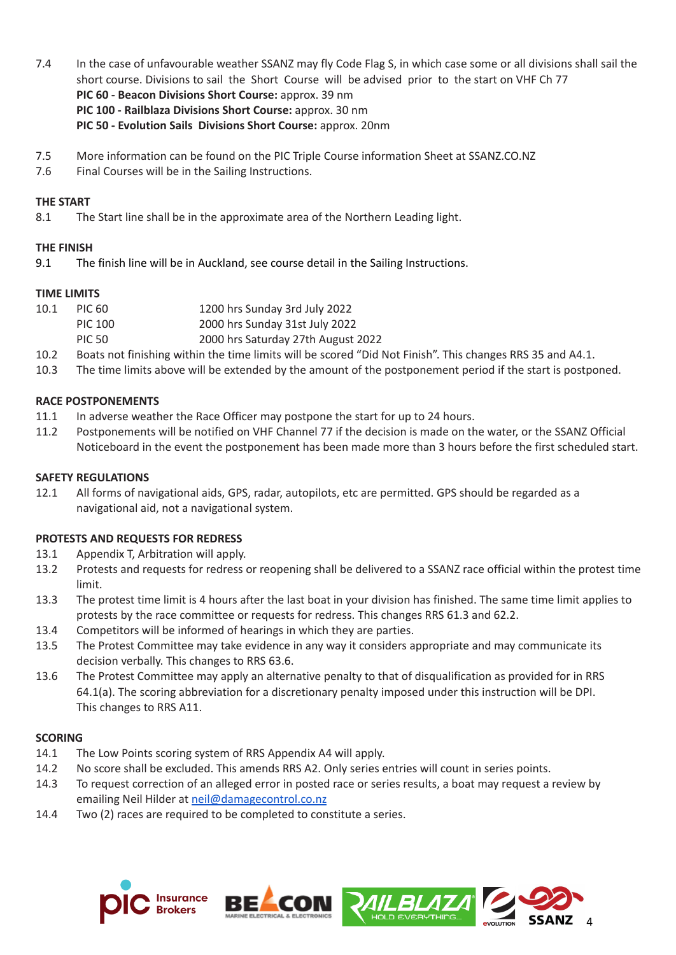- 7.4 In the case of unfavourable weather SSANZ may fly Code Flag S, in which case some or all divisions shall sail the short course. Divisions to sail the Short Course will be advised prior to the start on VHF Ch 77 **PIC 60 - Beacon Divisions Short Course:** approx. 39 nm **PIC 100 - Railblaza Divisions Short Course:** approx. 30 nm **PIC 50 - Evolution Sails Divisions Short Course:** approx. 20nm
- 7.5 More information can be found on the PIC Triple Course information Sheet at SSANZ.CO.NZ
- 7.6 Final Courses will be in the Sailing Instructions.

# **THE START**

8.1 The Start line shall be in the approximate area of the Northern Leading light.

# **THE FINISH**

9.1 The finish line will be in Auckland, see course detail in the Sailing Instructions.

## **TIME LIMITS**

- 10.1 PIC 60 1200 hrs Sunday 3rd July 2022
- PIC 100 2000 hrs Sunday 31st July 2022
- PIC 50 2000 hrs Saturday 27th August 2022
- 10.2 Boats not finishing within the time limits will be scored "Did Not Finish". This changes RRS 35 and A4.1.
- 10.3 The time limits above will be extended by the amount of the postponement period if the start is postponed.

## **RACE POSTPONEMENTS**

- 11.1 In adverse weather the Race Officer may postpone the start for up to 24 hours.
- 11.2 Postponements will be notified on VHF Channel 77 if the decision is made on the water, or the SSANZ Official Noticeboard in the event the postponement has been made more than 3 hours before the first scheduled start.

## **SAFETY REGULATIONS**

12.1 All forms of navigational aids, GPS, radar, autopilots, etc are permitted. GPS should be regarded as a navigational aid, not a navigational system.

#### **PROTESTS AND REQUESTS FOR REDRESS**

- 13.1 Appendix T, Arbitration will apply.
- 13.2 Protests and requests for redress or reopening shall be delivered to a SSANZ race official within the protest time limit.
- 13.3 The protest time limit is 4 hours after the last boat in your division has finished. The same time limit applies to protests by the race committee or requests for redress. This changes RRS 61.3 and 62.2.
- 13.4 Competitors will be informed of hearings in which they are parties.
- 13.5 The Protest Committee may take evidence in any way it considers appropriate and may communicate its decision verbally. This changes to RRS 63.6.
- 13.6 The Protest Committee may apply an alternative penalty to that of disqualification as provided for in RRS 64.1(a). The scoring abbreviation for a discretionary penalty imposed under this instruction will be DPI. This changes to RRS A11.

#### **SCORING**

- 14.1 The Low Points scoring system of RRS Appendix A4 will apply.
- 14.2 No score shall be excluded. This amends RRS A2. Only series entries will count in series points.
- 14.3 To request correction of an alleged error in posted race or series results, a boat may request a review by emailing Neil Hilder at [neil@damagecontrol.co.nz](mailto:neil@damagecontrol.co.nz)
- 14.4 Two (2) races are required to be completed to constitute a series.